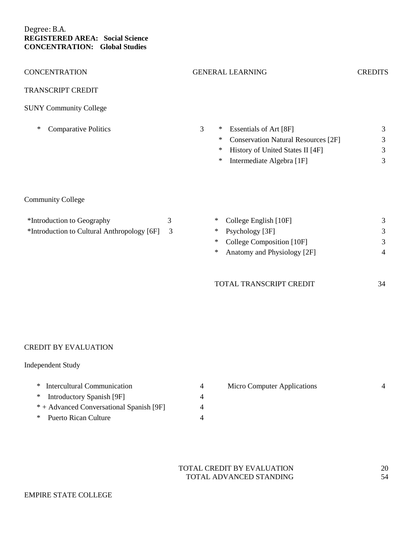## Degree: B.A. **REGISTERED AREA: Social Science CONCENTRATION: Global Studies**

| <b>CONCENTRATION</b>                                                      |        | <b>GENERAL LEARNING</b>                                                                                                                                                  | <b>CREDITS</b>                      |
|---------------------------------------------------------------------------|--------|--------------------------------------------------------------------------------------------------------------------------------------------------------------------------|-------------------------------------|
| <b>TRANSCRIPT CREDIT</b>                                                  |        |                                                                                                                                                                          |                                     |
| <b>SUNY Community College</b>                                             |        |                                                                                                                                                                          |                                     |
| <b>Comparative Politics</b><br>∗                                          |        | 3<br>Essentials of Art [8F]<br>$\ast$<br><b>Conservation Natural Resources</b> [2F]<br>$\ast$<br>History of United States II [4F]<br>∗<br>Intermediate Algebra [1F]<br>∗ | 3<br>3<br>3<br>3                    |
| <b>Community College</b>                                                  |        |                                                                                                                                                                          |                                     |
| *Introduction to Geography<br>*Introduction to Cultural Anthropology [6F] | 3<br>3 | College English [10F]<br>$\ast$<br>Psychology [3F]<br>$*$<br>College Composition [10F]<br>∗<br>Anatomy and Physiology [2F]<br>∗<br>TOTAL TRANSCRIPT CREDIT               | 3<br>3<br>3<br>$\overline{4}$<br>34 |
|                                                                           |        |                                                                                                                                                                          |                                     |

## CREDIT BY EVALUATION

## Independent Study

| * Intercultural Communication            |  |
|------------------------------------------|--|
| * Introductory Spanish [9F]              |  |
| * + Advanced Conversational Spanish [9F] |  |
| * Puerto Rican Culture                   |  |

| Micro Computer Applications |  |  |
|-----------------------------|--|--|
|                             |  |  |
|                             |  |  |
|                             |  |  |

TOTAL CREDIT BY EVALUATION 20<br>TOTAL ADVANCED STANDING 54 TOTAL ADVANCED STANDING